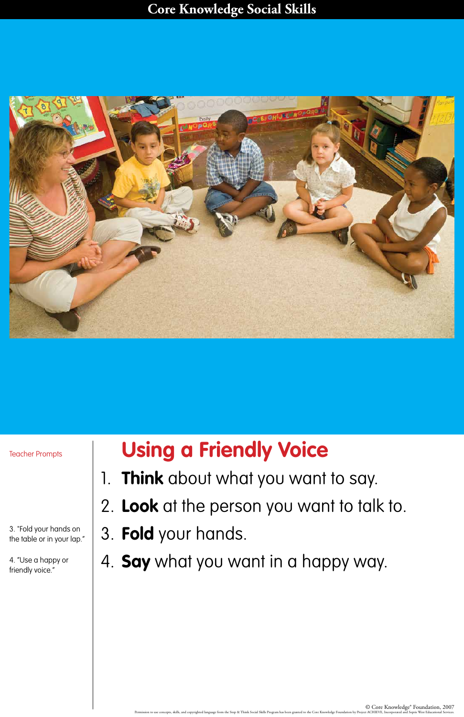### **Core Knowledge Social Skills**



# **Using a Friendly Voice**

- 1. **Think** about what you want to say.
- 2. **Look** at the person you want to talk to.
- 

### 3. **Fold** your hands.

## 4. **Say** what you want in a happy way.

C Ore Knowledge® Foundation, 2007<br>Permission to use concepts, skills, and copyrighted language from the Stop & Think Social Skills Program has been granted to the Core Knowledge Foundation by Project ACHIEVE, Incorporated

Teacher Prompts

3. "Fold your hands on the table or in your lap."

4. "Use a happy or friendly voice."